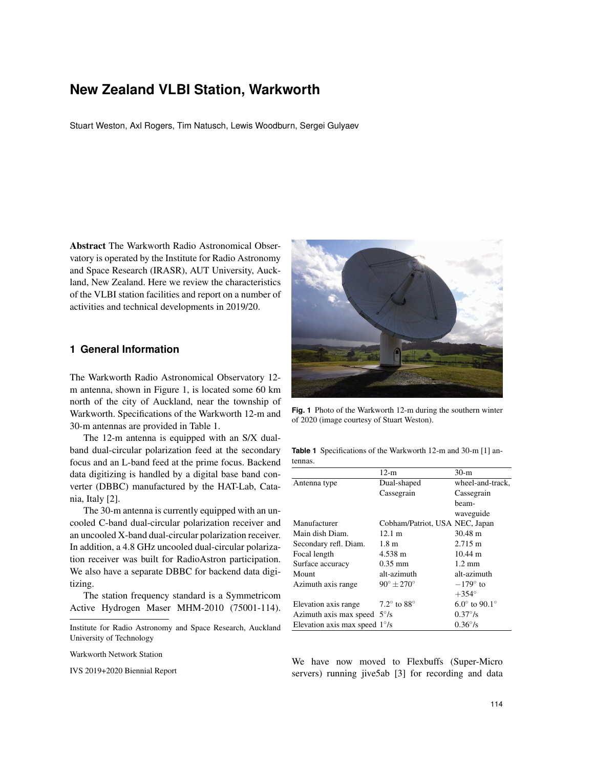# **New Zealand VLBI Station, Warkworth**

Stuart Weston, Axl Rogers, Tim Natusch, Lewis Woodburn, Sergei Gulyaev

Abstract The Warkworth Radio Astronomical Observatory is operated by the Institute for Radio Astronomy and Space Research (IRASR), AUT University, Auckland, New Zealand. Here we review the characteristics of the VLBI station facilities and report on a number of activities and technical developments in 2019/20.

## **1 General Information**

The Warkworth Radio Astronomical Observatory 12 m antenna, shown in Figure 1, is located some 60 km north of the city of Auckland, near the township of Warkworth. Specifications of the Warkworth 12-m and 30-m antennas are provided in Table 1.

The 12-m antenna is equipped with an S/X dualband dual-circular polarization feed at the secondary focus and an L-band feed at the prime focus. Backend data digitizing is handled by a digital base band converter (DBBC) manufactured by the HAT-Lab, Catania, Italy [2].

The 30-m antenna is currently equipped with an uncooled C-band dual-circular polarization receiver and an uncooled X-band dual-circular polarization receiver. In addition, a 4.8 GHz uncooled dual-circular polarization receiver was built for RadioAstron participation. We also have a separate DBBC for backend data digitizing.

The station frequency standard is a Symmetricom Active Hydrogen Maser MHM-2010 (75001-114).

Warkworth Network Station

IVS 2019+2020 Biennial Report



**Fig. 1** Photo of the Warkworth 12-m during the southern winter of 2020 (image courtesy of Stuart Weston).

**Table 1** Specifications of the Warkworth 12-m and 30-m [1] antennas.

|                                        | $12-m$                         | $30-m$                 |
|----------------------------------------|--------------------------------|------------------------|
| Antenna type                           | Dual-shaped                    | wheel-and-track,       |
|                                        | Cassegrain                     | Cassegrain             |
|                                        |                                | beam-                  |
|                                        |                                | waveguide              |
| Manufacturer                           | Cobham/Patriot, USA NEC, Japan |                        |
| Main dish Diam.                        | $12.1 \text{ m}$               | $30.48 \text{ m}$      |
| Secondary refl. Diam.                  | 1.8 <sub>m</sub>               | $2.715 \text{ m}$      |
| Focal length                           | 4.538 m                        | $10.44 \text{ m}$      |
| Surface accuracy                       | $0.35 \text{ mm}$              | $1.2 \text{ mm}$       |
| Mount                                  | alt-azimuth                    | alt-azimuth            |
| Azimuth axis range                     | $90^\circ \pm 270^\circ$       | $-179^\circ$ to        |
|                                        |                                | $+354^\circ$           |
| Elevation axis range                   | $7.2^\circ$ to $88^\circ$      | $6.0^{\circ}$ to 90.1° |
| Azimuth axis max speed $5^{\circ}/s$   |                                | $0.37\degree$ /s       |
| Elevation axis max speed $1^{\circ}/s$ |                                | $0.36^{\circ}/s$       |

We have now moved to Flexbuffs (Super-Micro servers) running jive5ab [3] for recording and data

Institute for Radio Astronomy and Space Research, Auckland University of Technology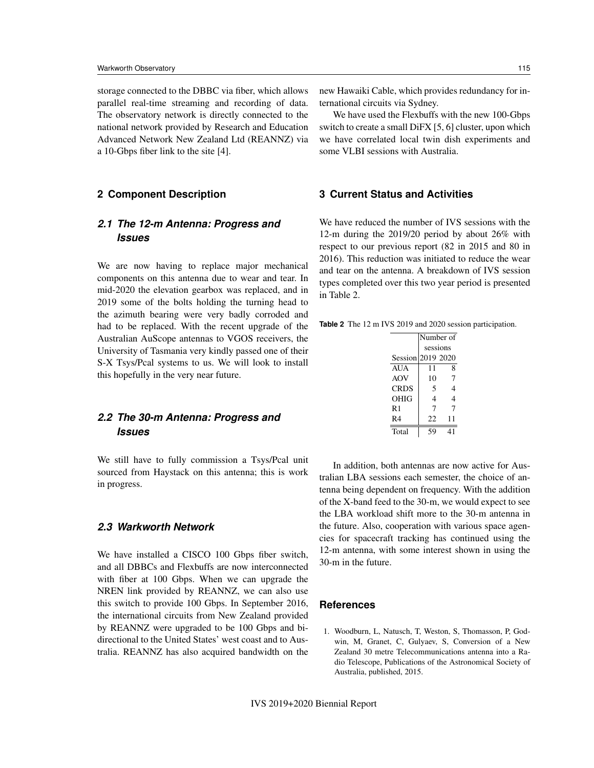storage connected to the DBBC via fiber, which allows parallel real-time streaming and recording of data. The observatory network is directly connected to the national network provided by Research and Education Advanced Network New Zealand Ltd (REANNZ) via a 10-Gbps fiber link to the site [4].

#### **2 Component Description**

# *2.1 The 12-m Antenna: Progress and Issues*

We are now having to replace major mechanical components on this antenna due to wear and tear. In mid-2020 the elevation gearbox was replaced, and in 2019 some of the bolts holding the turning head to the azimuth bearing were very badly corroded and had to be replaced. With the recent upgrade of the Australian AuScope antennas to VGOS receivers, the University of Tasmania very kindly passed one of their S-X Tsys/Pcal systems to us. We will look to install this hopefully in the very near future.

# *2.2 The 30-m Antenna: Progress and Issues*

We still have to fully commission a Tsys/Pcal unit sourced from Haystack on this antenna; this is work in progress.

#### *2.3 Warkworth Network*

We have installed a CISCO 100 Gbps fiber switch, and all DBBCs and Flexbuffs are now interconnected with fiber at 100 Gbps. When we can upgrade the NREN link provided by REANNZ, we can also use this switch to provide 100 Gbps. In September 2016, the international circuits from New Zealand provided by REANNZ were upgraded to be 100 Gbps and bidirectional to the United States' west coast and to Australia. REANNZ has also acquired bandwidth on the new Hawaiki Cable, which provides redundancy for international circuits via Sydney.

We have used the Flexbuffs with the new 100-Gbps switch to create a small DiFX [5, 6] cluster, upon which we have correlated local twin dish experiments and some VLBI sessions with Australia.

### **3 Current Status and Activities**

We have reduced the number of IVS sessions with the 12-m during the 2019/20 period by about 26% with respect to our previous report (82 in 2015 and 80 in 2016). This reduction was initiated to reduce the wear and tear on the antenna. A breakdown of IVS session types completed over this two year period is presented in Table 2.

| <b>Table 2</b> The 12 m IVS 2019 and 2020 session participation. |
|------------------------------------------------------------------|
|------------------------------------------------------------------|

|                   | Number of |    |
|-------------------|-----------|----|
|                   | sessions  |    |
| Session 2019 2020 |           |    |
| AUA               | 11        | 8  |
| AOV               | 10        | 7  |
| <b>CRDS</b>       | 5         | 4  |
| <b>OHIG</b>       | 4         | 4  |
| R1                | 7         | 7  |
| R4                | 22        | 11 |
| Total             | 59        | 41 |

In addition, both antennas are now active for Australian LBA sessions each semester, the choice of antenna being dependent on frequency. With the addition of the X-band feed to the 30-m, we would expect to see the LBA workload shift more to the 30-m antenna in the future. Also, cooperation with various space agencies for spacecraft tracking has continued using the 12-m antenna, with some interest shown in using the 30-m in the future.

### **References**

1. Woodburn, L, Natusch, T, Weston, S, Thomasson, P, Godwin, M, Granet, C, Gulyaev, S, Conversion of a New Zealand 30 metre Telecommunications antenna into a Radio Telescope, Publications of the Astronomical Society of Australia, published, 2015.